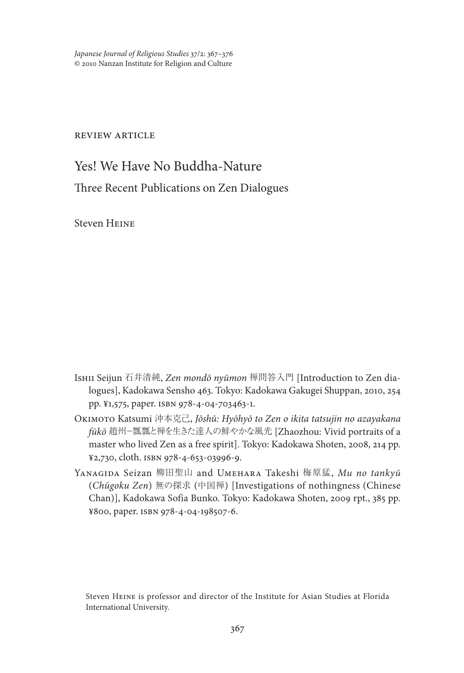*Japanese Journal of Religious Studies* 37/2: 367–376 © 2010 Nanzan Institute for Religion and Culture

review article

# Yes! We Have No Buddha-Nature Three Recent Publications on Zen Dialogues

Steven Heine

- Ishii Seijun 石井清純, *Zen mondō nyūmon* 禅問答入門 [Introduction to Zen dialogues], Kadokawa Sensho 463. Tokyo: Kadokawa Gakugei Shuppan, 2010, 254 pp. ¥1,575, paper. isbn 978-4-04-703463-1.
- Okimoto Katsumi 沖本克己, *Jōshū: Hyōhyō to Zen o ikita tatsujin no azayakana fūkō* 趙州-瓢瓢と禅を生きた達人の鮮やかな風光 [Zhaozhou: Vivid portraits of a master who lived Zen as a free spirit]. Tokyo: Kadokawa Shoten, 2008, 214 pp. ¥2,730, cloth. isbn 978-4-653-03996-9.
- Yanagida Seizan 柳田聖山 and Umehara Takeshi 梅原猛, *Mu no tankyū* (*Chūgoku Zen*) 無の探求 (中国禅) [Investigations of nothingness (Chinese Chan)], Kadokawa Sofia Bunko. Tokyo: Kadokawa Shoten, 2009 rpt., 385 pp. ¥800, paper. isbn 978-4-04-198507-6.

Steven Heine is professor and director of the Institute for Asian Studies at Florida International University.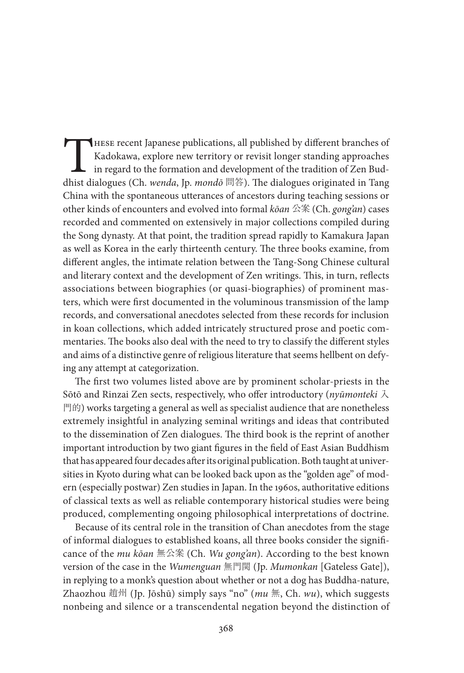These recent Japanese publications, all published by different branches of Kadokawa, explore new territory or revisit longer standing approaches in regard to the formation and development of the tradition of Zen Buddhist dialogues (Ch. *wenda*, Jp. *mondō* 問答). The dialogues originated in Tang China with the spontaneous utterances of ancestors during teaching sessions or other kinds of encounters and evolved into formal *kōan* 公案 (Ch. *gong'an*) cases recorded and commented on extensively in major collections compiled during the Song dynasty. At that point, the tradition spread rapidly to Kamakura Japan as well as Korea in the early thirteenth century. The three books examine, from different angles, the intimate relation between the Tang-Song Chinese cultural and literary context and the development of Zen writings. This, in turn, reflects associations between biographies (or quasi-biographies) of prominent masters, which were first documented in the voluminous transmission of the lamp records, and conversational anecdotes selected from these records for inclusion in koan collections, which added intricately structured prose and poetic commentaries. The books also deal with the need to try to classify the different styles and aims of a distinctive genre of religious literature that seems hellbent on defying any attempt at categorization.

The first two volumes listed above are by prominent scholar-priests in the Sōtō and Rinzai Zen sects, respectively, who offer introductory (*nyūmonteki* 入 門的) works targeting a general as well as specialist audience that are nonetheless extremely insightful in analyzing seminal writings and ideas that contributed to the dissemination of Zen dialogues. The third book is the reprint of another important introduction by two giant figures in the field of East Asian Buddhism that has appeared four decades after its original publication. Both taught at universities in Kyoto during what can be looked back upon as the "golden age" of modern (especially postwar) Zen studies in Japan. In the 1960s, authoritative editions of classical texts as well as reliable contemporary historical studies were being produced, complementing ongoing philosophical interpretations of doctrine.

Because of its central role in the transition of Chan anecdotes from the stage of informal dialogues to established koans, all three books consider the significance of the *mu kōan* 無公案 (Ch. *Wu gong'an*). According to the best known version of the case in the *Wumenguan* 無門関 (Jp. *Mumonkan* [Gateless Gate]), in replying to a monk's question about whether or not a dog has Buddha-nature, Zhaozhou 趙州 (Jp. Jōshū) simply says "no" (*mu* 無, Ch. *wu*), which suggests nonbeing and silence or a transcendental negation beyond the distinction of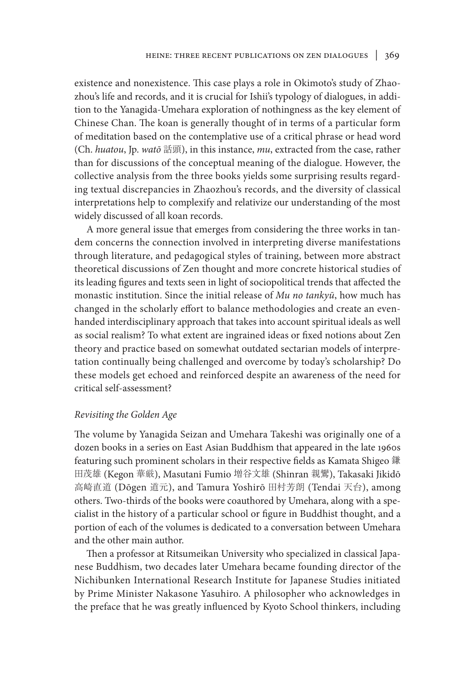existence and nonexistence. This case plays a role in Okimoto's study of Zhaozhou's life and records, and it is crucial for Ishii's typology of dialogues, in addition to the Yanagida-Umehara exploration of nothingness as the key element of Chinese Chan. The koan is generally thought of in terms of a particular form of meditation based on the contemplative use of a critical phrase or head word (Ch. *huatou*, Jp. *watō* 話頭), in this instance, *mu*, extracted from the case, rather than for discussions of the conceptual meaning of the dialogue. However, the collective analysis from the three books yields some surprising results regarding textual discrepancies in Zhaozhou's records, and the diversity of classical interpretations help to complexify and relativize our understanding of the most widely discussed of all koan records.

A more general issue that emerges from considering the three works in tandem concerns the connection involved in interpreting diverse manifestations through literature, and pedagogical styles of training, between more abstract theoretical discussions of Zen thought and more concrete historical studies of its leading figures and texts seen in light of sociopolitical trends that affected the monastic institution. Since the initial release of *Mu no tankyū*, how much has changed in the scholarly effort to balance methodologies and create an evenhanded interdisciplinary approach that takes into account spiritual ideals as well as social realism? To what extent are ingrained ideas or fixed notions about Zen theory and practice based on somewhat outdated sectarian models of interpretation continually being challenged and overcome by today's scholarship? Do these models get echoed and reinforced despite an awareness of the need for critical self-assessment?

#### *Revisiting the Golden Age*

The volume by Yanagida Seizan and Umehara Takeshi was originally one of a dozen books in a series on East Asian Buddhism that appeared in the late 1960s featuring such prominent scholars in their respective fields as Kamata Shigeo 鎌 田茂雄 (Kegon 華厳), Masutani Fumio 増谷文雄 (Shinran 親鸞), Takasaki Jikidō 高崎直道 (Dōgen 道元), and Tamura Yoshirō 田村芳朗 (Tendai 天台), among others. Two-thirds of the books were coauthored by Umehara, along with a specialist in the history of a particular school or figure in Buddhist thought, and a portion of each of the volumes is dedicated to a conversation between Umehara and the other main author.

Then a professor at Ritsumeikan University who specialized in classical Japanese Buddhism, two decades later Umehara became founding director of the Nichibunken International Research Institute for Japanese Studies initiated by Prime Minister Nakasone Yasuhiro. A philosopher who acknowledges in the preface that he was greatly influenced by Kyoto School thinkers, including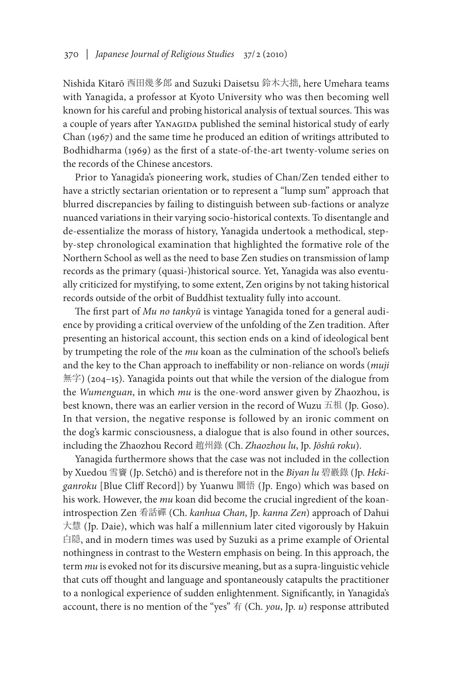Nishida Kitarō 西田幾多郎 and Suzuki Daisetsu 鈴木大拙, here Umehara teams with Yanagida, a professor at Kyoto University who was then becoming well known for his careful and probing historical analysis of textual sources. This was a couple of years after YANAGIDA published the seminal historical study of early Chan (1967) and the same time he produced an edition of writings attributed to Bodhidharma (1969) as the first of a state-of-the-art twenty-volume series on the records of the Chinese ancestors.

Prior to Yanagida's pioneering work, studies of Chan/Zen tended either to have a strictly sectarian orientation or to represent a "lump sum" approach that blurred discrepancies by failing to distinguish between sub-factions or analyze nuanced variations in their varying socio-historical contexts. To disentangle and de-essentialize the morass of history, Yanagida undertook a methodical, stepby-step chronological examination that highlighted the formative role of the Northern School as well as the need to base Zen studies on transmission of lamp records as the primary (quasi-)historical source. Yet, Yanagida was also eventually criticized for mystifying, to some extent, Zen origins by not taking historical records outside of the orbit of Buddhist textuality fully into account.

The first part of *Mu no tankyū* is vintage Yanagida toned for a general audience by providing a critical overview of the unfolding of the Zen tradition. After presenting an historical account, this section ends on a kind of ideological bent by trumpeting the role of the *mu* koan as the culmination of the school's beliefs and the key to the Chan approach to ineffability or non-reliance on words (*muji* 無字) (204–15). Yanagida points out that while the version of the dialogue from the *Wumenguan*, in which *mu* is the one-word answer given by Zhaozhou, is best known, there was an earlier version in the record of Wuzu 五祖 (Jp. Goso). In that version, the negative response is followed by an ironic comment on the dog's karmic consciousness, a dialogue that is also found in other sources, including the Zhaozhou Record 趙州錄 (Ch. *Zhaozhou lu*, Jp. *Jōshū roku*).

Yanagida furthermore shows that the case was not included in the collection by Xuedou 雪竇 (Jp. Setchō) and is therefore not in the *Biyan lu* 碧巖錄 (Jp. *Hekiganroku* [Blue Cliff Record]) by Yuanwu 圜悟 (Jp. Engo) which was based on his work. However, the *mu* koan did become the crucial ingredient of the koanintrospection Zen 看話禪 (Ch. *kanhua Chan*, Jp. *kanna Zen*) approach of Dahui 大慧 (Jp. Daie), which was half a millennium later cited vigorously by Hakuin 白隠, and in modern times was used by Suzuki as a prime example of Oriental nothingness in contrast to the Western emphasis on being. In this approach, the term *mu* is evoked not for its discursive meaning, but as a supra-linguistic vehicle that cuts off thought and language and spontaneously catapults the practitioner to a nonlogical experience of sudden enlightenment. Significantly, in Yanagida's account, there is no mention of the "yes" 有 (Ch. *you*, Jp. *u*) response attributed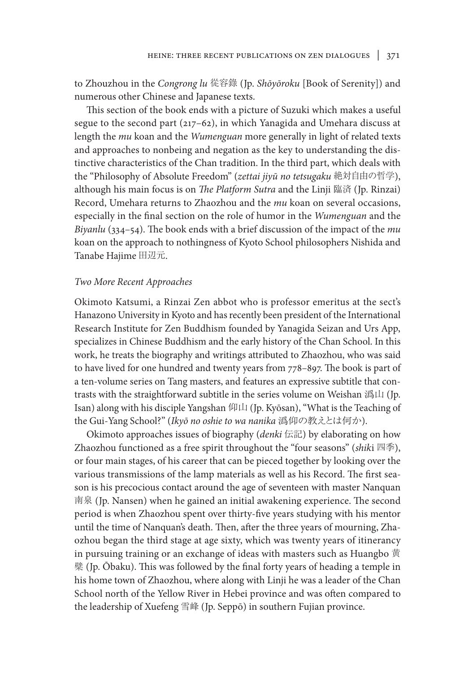to Zhouzhou in the *Congrong lu* 從容錄 (Jp. *Shōyōroku* [Book of Serenity]) and numerous other Chinese and Japanese texts.

This section of the book ends with a picture of Suzuki which makes a useful segue to the second part (217–62), in which Yanagida and Umehara discuss at length the *mu* koan and the *Wumenguan* more generally in light of related texts and approaches to nonbeing and negation as the key to understanding the distinctive characteristics of the Chan tradition. In the third part, which deals with the "Philosophy of Absolute Freedom" (*zettai jiyū no tetsugaku* 絶対自由の哲学), although his main focus is on *The Platform Sutra* and the Linji 臨済 (Jp. Rinzai) Record, Umehara returns to Zhaozhou and the *mu* koan on several occasions, especially in the final section on the role of humor in the *Wumenguan* and the *Biyanlu* (334–54). The book ends with a brief discussion of the impact of the *mu*  koan on the approach to nothingness of Kyoto School philosophers Nishida and Tanabe Hajime 田辺元.

#### *Two More Recent Approaches*

Okimoto Katsumi, a Rinzai Zen abbot who is professor emeritus at the sect's Hanazono University in Kyoto and has recently been president of the International Research Institute for Zen Buddhism founded by Yanagida Seizan and Urs App, specializes in Chinese Buddhism and the early history of the Chan School. In this work, he treats the biography and writings attributed to Zhaozhou, who was said to have lived for one hundred and twenty years from 778–897. The book is part of a ten-volume series on Tang masters, and features an expressive subtitle that contrasts with the straightforward subtitle in the series volume on Weishan 潙山 (Jp. Isan) along with his disciple Yangshan 仰山 (Jp. Kyōsan), "What is the Teaching of the Gui-Yang School?" (*Ikyō no oshie to wa nanika* 潙仰の教えとは何か).

Okimoto approaches issues of biography (*denki* 伝記) by elaborating on how Zhaozhou functioned as a free spirit throughout the "four seasons" (*shik*i 四季), or four main stages, of his career that can be pieced together by looking over the various transmissions of the lamp materials as well as his Record. The first season is his precocious contact around the age of seventeen with master Nanquan 南泉 (Jp. Nansen) when he gained an initial awakening experience. The second period is when Zhaozhou spent over thirty-five years studying with his mentor until the time of Nanquan's death. Then, after the three years of mourning, Zhaozhou began the third stage at age sixty, which was twenty years of itinerancy in pursuing training or an exchange of ideas with masters such as Huangbo 黄 檗 (Jp. Ōbaku). This was followed by the final forty years of heading a temple in his home town of Zhaozhou, where along with Linji he was a leader of the Chan School north of the Yellow River in Hebei province and was often compared to the leadership of Xuefeng 雪峰 (Jp. Seppō) in southern Fujian province.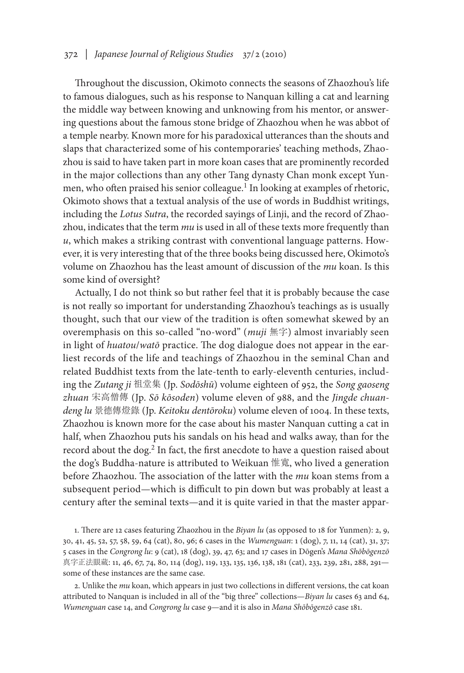## 372 *| Japanese Journal of Religious Studies* 37/2 (2010)

Throughout the discussion, Okimoto connects the seasons of Zhaozhou's life to famous dialogues, such as his response to Nanquan killing a cat and learning the middle way between knowing and unknowing from his mentor, or answering questions about the famous stone bridge of Zhaozhou when he was abbot of a temple nearby. Known more for his paradoxical utterances than the shouts and slaps that characterized some of his contemporaries' teaching methods, Zhaozhou is said to have taken part in more koan cases that are prominently recorded in the major collections than any other Tang dynasty Chan monk except Yunmen, who often praised his senior colleague.<sup>1</sup> In looking at examples of rhetoric, Okimoto shows that a textual analysis of the use of words in Buddhist writings, including the *Lotus Sutra*, the recorded sayings of Linji, and the record of Zhaozhou, indicates that the term *mu* is used in all of these texts more frequently than *u*, which makes a striking contrast with conventional language patterns. However, it is very interesting that of the three books being discussed here, Okimoto's volume on Zhaozhou has the least amount of discussion of the *mu* koan. Is this some kind of oversight?

Actually, I do not think so but rather feel that it is probably because the case is not really so important for understanding Zhaozhou's teachings as is usually thought, such that our view of the tradition is often somewhat skewed by an overemphasis on this so-called "no-word" (*muji* 無字) almost invariably seen in light of *huatou*/*watō* practice. The dog dialogue does not appear in the earliest records of the life and teachings of Zhaozhou in the seminal Chan and related Buddhist texts from the late-tenth to early-eleventh centuries, including the *Zutang ji* 祖堂集 (Jp. *Sodōshū*) volume eighteen of 952, the *Song gaoseng zhuan* 宋高僧傳 (Jp. *Sō kōsoden*) volume eleven of 988, and the *Jingde chuandeng lu* 景德傳燈錄 (Jp. *Keitoku dentōroku*) volume eleven of 1004. In these texts, Zhaozhou is known more for the case about his master Nanquan cutting a cat in half, when Zhaozhou puts his sandals on his head and walks away, than for the record about the dog.2 In fact, the first anecdote to have a question raised about the dog's Buddha-nature is attributed to Weikuan 惟寬, who lived a generation before Zhaozhou. The association of the latter with the *mu* koan stems from a subsequent period—which is difficult to pin down but was probably at least a century after the seminal texts—and it is quite varied in that the master appar-

1. There are 12 cases featuring Zhaozhou in the *Biyan lu* (as opposed to 18 for Yunmen): 2, 9, 30, 41, 45, 52, 57, 58, 59, 64 (cat), 80, 96; 6 cases in the *Wumenguan*: 1 (dog), 7, 11, 14 (cat), 31, 37; 5 cases in the *Congrong lu*: 9 (cat), 18 (dog), 39, 47, 63; and 17 cases in Dōgen's *Mana Shōbōgenzō* 真字正法眼蔵: 11, 46, 67, 74, 80, 114 (dog), 119, 133, 135, 136, 138, 181 (cat), 233, 239, 281, 288, 291 some of these instances are the same case.

2. Unlike the *mu* koan, which appears in just two collections in different versions, the cat koan attributed to Nanquan is included in all of the "big three" collections—*Biyan lu* cases 63 and 64, *Wumenguan* case 14, and *Congrong lu* case 9—and it is also in *Mana Shōbōgenzō* case 181.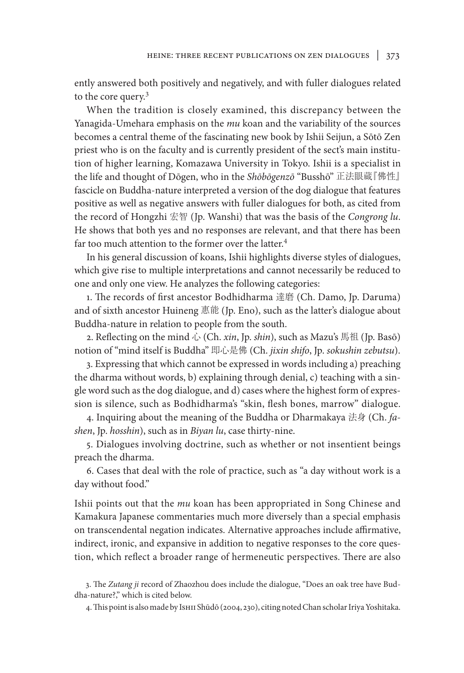ently answered both positively and negatively, and with fuller dialogues related to the core query.<sup>3</sup>

When the tradition is closely examined, this discrepancy between the Yanagida-Umehara emphasis on the *mu* koan and the variability of the sources becomes a central theme of the fascinating new book by Ishii Seijun, a Sōtō Zen priest who is on the faculty and is currently president of the sect's main institution of higher learning, Komazawa University in Tokyo. Ishii is a specialist in the life and thought of Dōgen, who in the *Shōbōgenzō* "Busshō" 正法眼蔵『佛性』 fascicle on Buddha-nature interpreted a version of the dog dialogue that features positive as well as negative answers with fuller dialogues for both, as cited from the record of Hongzhi 宏智 (Jp. Wanshi) that was the basis of the *Congrong lu*. He shows that both yes and no responses are relevant, and that there has been far too much attention to the former over the latter.<sup>4</sup>

In his general discussion of koans, Ishii highlights diverse styles of dialogues, which give rise to multiple interpretations and cannot necessarily be reduced to one and only one view. He analyzes the following categories:

1. The records of first ancestor Bodhidharma 達磨 (Ch. Damo, Jp. Daruma) and of sixth ancestor Huineng 惠能 (Jp. Eno), such as the latter's dialogue about Buddha-nature in relation to people from the south.

2. Reflecting on the mind 心 (Ch. *xin*, Jp. *shin*), such as Mazu's 馬祖 (Jp. Basō) notion of "mind itself is Buddha" 即心是佛 (Ch. *jixin shifo*, Jp. *sokushin zebutsu*).

3. Expressing that which cannot be expressed in words including a) preaching the dharma without words, b) explaining through denial, c) teaching with a single word such as the dog dialogue, and d) cases where the highest form of expression is silence, such as Bodhidharma's "skin, flesh bones, marrow" dialogue.

4. Inquiring about the meaning of the Buddha or Dharmakaya 法身 (Ch. *fashen*, Jp. *hosshin*), such as in *Biyan lu*, case thirty-nine.

5. Dialogues involving doctrine, such as whether or not insentient beings preach the dharma.

6. Cases that deal with the role of practice, such as "a day without work is a day without food."

Ishii points out that the *mu* koan has been appropriated in Song Chinese and Kamakura Japanese commentaries much more diversely than a special emphasis on transcendental negation indicates. Alternative approaches include affirmative, indirect, ironic, and expansive in addition to negative responses to the core question, which reflect a broader range of hermeneutic perspectives. There are also

<sup>3.</sup> The *Zutang ji* record of Zhaozhou does include the dialogue, "Does an oak tree have Buddha-nature?," which is cited below.

<sup>4.</sup> This point is also made by IsHII Shūdō (2004, 230), citing noted Chan scholar Iriya Yoshitaka.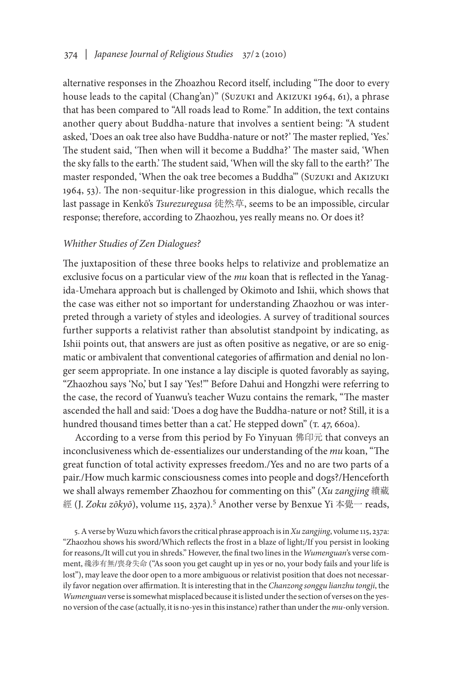# 374 *| Japanese Journal of Religious Studies* 37/2 (2010)

alternative responses in the Zhoazhou Record itself, including "The door to every house leads to the capital (Chang'an)" (Suzuki and Akizuki 1964, 61), a phrase that has been compared to "All roads lead to Rome." In addition, the text contains another query about Buddha-nature that involves a sentient being: "A student asked, 'Does an oak tree also have Buddha-nature or not?' The master replied, 'Yes.' The student said, 'Then when will it become a Buddha?' The master said, 'When the sky falls to the earth.' The student said, 'When will the sky fall to the earth?' The master responded, 'When the oak tree becomes a Buddha'" (Suzuki and Akizuki 1964, 53). The non-sequitur-like progression in this dialogue, which recalls the last passage in Kenkō's *Tsurezuregusa* 徒然草, seems to be an impossible, circular response; therefore, according to Zhaozhou, yes really means no. Or does it?

### *Whither Studies of Zen Dialogues?*

The juxtaposition of these three books helps to relativize and problematize an exclusive focus on a particular view of the *mu* koan that is reflected in the Yanagida-Umehara approach but is challenged by Okimoto and Ishii, which shows that the case was either not so important for understanding Zhaozhou or was interpreted through a variety of styles and ideologies. A survey of traditional sources further supports a relativist rather than absolutist standpoint by indicating, as Ishii points out, that answers are just as often positive as negative, or are so enigmatic or ambivalent that conventional categories of affirmation and denial no longer seem appropriate. In one instance a lay disciple is quoted favorably as saying, "Zhaozhou says 'No,' but I say 'Yes!'" Before Dahui and Hongzhi were referring to the case, the record of Yuanwu's teacher Wuzu contains the remark, "The master ascended the hall and said: 'Does a dog have the Buddha-nature or not? Still, it is a hundred thousand times better than a cat.' He stepped down" ( $\pi$ , 47, 660a).

According to a verse from this period by Fo Yinyuan 佛印元 that conveys an inconclusiveness which de-essentializes our understanding of the *mu* koan, "The great function of total activity expresses freedom./Yes and no are two parts of a pair./How much karmic consciousness comes into people and dogs?/Henceforth we shall always remember Zhaozhou for commenting on this" (*Xu zangjing* 續藏 經 (J. *Zoku zōkyō*), volume 115, 237a).<sup>5</sup> Another verse by Benxue Yi 本覺一 reads,

5. A verse by Wuzu which favors the critical phrase approach is in *Xu zangjing*, volume 115, 237a: "Zhaozhou shows his sword/Which reflects the frost in a blaze of light;/If you persist in looking for reasons,/It will cut you in shreds." However, the final two lines in the *Wumenguan*'s verse comment, 纔渉有無/喪身失命 ("As soon you get caught up in yes or no, your body fails and your life is lost"), may leave the door open to a more ambiguous or relativist position that does not necessarily favor negation over affirmation. It is interesting that in the *Chanzong songgu lianzhu tongji*, the *Wumenguan* verse is somewhat misplaced because it is listed under the section of verses on the yesno version of the case (actually, it is no-yes in this instance) rather than under the *mu*-only version.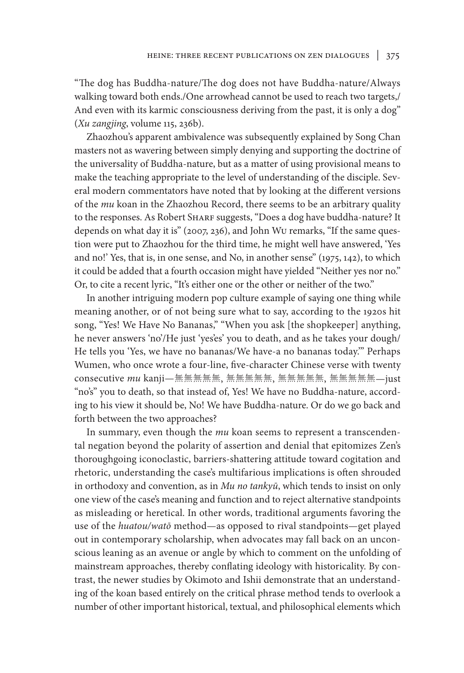"The dog has Buddha-nature/The dog does not have Buddha-nature/Always walking toward both ends./One arrowhead cannot be used to reach two targets,/ And even with its karmic consciousness deriving from the past, it is only a dog" (*Xu zangjing*, volume 115, 236b).

Zhaozhou's apparent ambivalence was subsequently explained by Song Chan masters not as wavering between simply denying and supporting the doctrine of the universality of Buddha-nature, but as a matter of using provisional means to make the teaching appropriate to the level of understanding of the disciple. Several modern commentators have noted that by looking at the different versions of the *mu* koan in the Zhaozhou Record, there seems to be an arbitrary quality to the responses. As Robert SHARF suggests, "Does a dog have buddha-nature? It depends on what day it is" (2007, 236), and John Wu remarks, "If the same question were put to Zhaozhou for the third time, he might well have answered, 'Yes and no!' Yes, that is, in one sense, and No, in another sense" (1975, 142), to which it could be added that a fourth occasion might have yielded "Neither yes nor no." Or, to cite a recent lyric, "It's either one or the other or neither of the two."

In another intriguing modern pop culture example of saying one thing while meaning another, or of not being sure what to say, according to the 1920s hit song, "Yes! We Have No Bananas," "When you ask [the shopkeeper] anything, he never answers 'no'/He just 'yes'es' you to death, and as he takes your dough/ He tells you 'Yes, we have no bananas/We have-a no bananas today.'" Perhaps Wumen, who once wrote a four-line, five-character Chinese verse with twenty consecutive *mu* kanji—無無無無無, 無無無無無, 無無無無無, 無無無無無—just "no's" you to death, so that instead of, Yes! We have no Buddha-nature, according to his view it should be, No! We have Buddha-nature. Or do we go back and forth between the two approaches?

In summary, even though the *mu* koan seems to represent a transcendental negation beyond the polarity of assertion and denial that epitomizes Zen's thoroughgoing iconoclastic, barriers-shattering attitude toward cogitation and rhetoric, understanding the case's multifarious implications is often shrouded in orthodoxy and convention, as in *Mu no tankyū*, which tends to insist on only one view of the case's meaning and function and to reject alternative standpoints as misleading or heretical. In other words, traditional arguments favoring the use of the *huatou/watō* method—as opposed to rival standpoints—get played out in contemporary scholarship, when advocates may fall back on an unconscious leaning as an avenue or angle by which to comment on the unfolding of mainstream approaches, thereby conflating ideology with historicality. By contrast, the newer studies by Okimoto and Ishii demonstrate that an understanding of the koan based entirely on the critical phrase method tends to overlook a number of other important historical, textual, and philosophical elements which